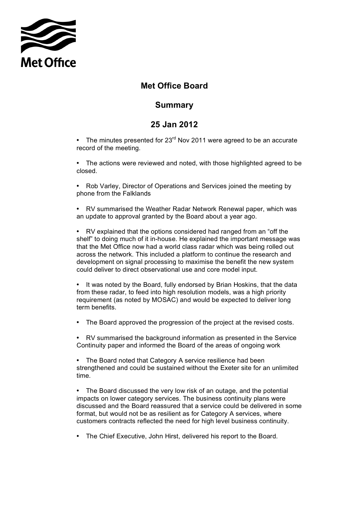

## **Met Office Board**

## **Summary**

## **25 Jan 2012**

• The minutes presented for  $23<sup>rd</sup>$  Nov 2011 were agreed to be an accurate record of the meeting.

 • The actions were reviewed and noted, with those highlighted agreed to be closed.

 • Rob Varley, Director of Operations and Services joined the meeting by phone from the Falklands

 • RV summarised the Weather Radar Network Renewal paper, which was an update to approval granted by the Board about a year ago.

 shelf" to doing much of it in-house. He explained the important message was that the Met Office now had a world class radar which was being rolled out across the network. This included a platform to continue the research and development on signal processing to maximise the benefit the new system • RV explained that the options considered had ranged from an "off the could deliver to direct observational use and core model input.

 • It was noted by the Board, fully endorsed by Brian Hoskins, that the data from these radar, to feed into high resolution models, was a high priority requirement (as noted by MOSAC) and would be expected to deliver long term benefits.

• The Board approved the progression of the project at the revised costs.

 Continuity paper and informed the Board of the areas of ongoing work • RV summarised the background information as presented in the Service

 • The Board noted that Category A service resilience had been strengthened and could be sustained without the Exeter site for an unlimited time.

 • The Board discussed the very low risk of an outage, and the potential impacts on lower category services. The business continuity plans were discussed and the Board reassured that a service could be delivered in some format, but would not be as resilient as for Category A services, where customers contracts reflected the need for high level business continuity.

• The Chief Executive, John Hirst, delivered his report to the Board.